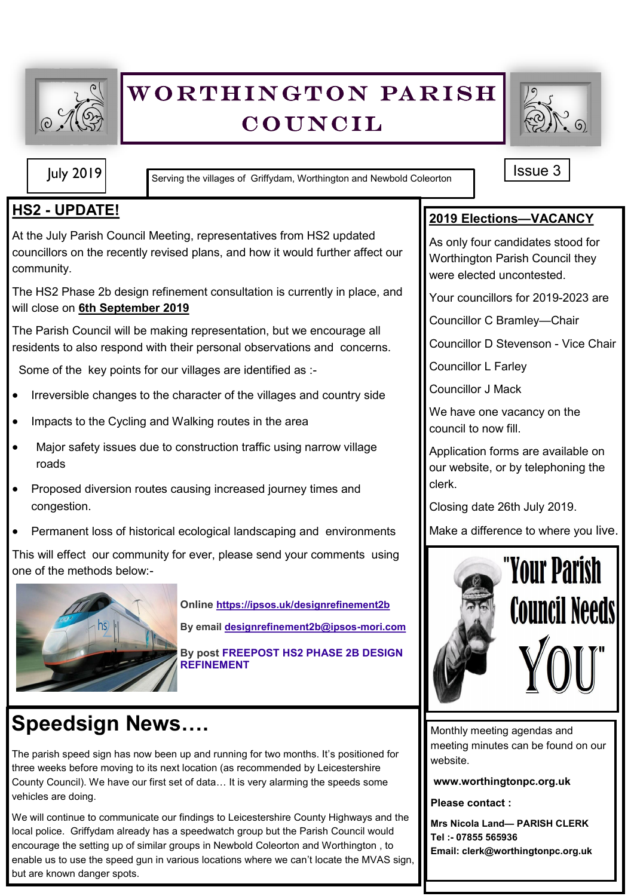

## WORTHINGTON PARISH **COUNCIL**



July 2019 **In Example 3** Serving the villages of Griffydam, Worthington and Newbold Coleorton

#### **HS2 - UPDATE!**

At the July Parish Council Meeting, representatives from HS2 updated councillors on the recently revised plans, and how it would further affect our community.

The HS2 Phase 2b design refinement consultation is currently in place, and will close on **6th September 2019**

The Parish Council will be making representation, but we encourage all residents to also respond with their personal observations and concerns.

Some of the key points for our villages are identified as :-

- Irreversible changes to the character of the villages and country side
- Impacts to the Cycling and Walking routes in the area
- Major safety issues due to construction traffic using narrow village roads
- Proposed diversion routes causing increased journey times and congestion.
- Permanent loss of historical ecological landscaping and environments

This will effect our community for ever, please send your comments using one of the methods below:-



**Online <https://ipsos.uk/designrefinement2b> By email [designrefinement2b@ipsos](mailto:designrefinement2b@ipsos-mori.com)-mori.com**

**By post FREEPOST HS2 PHASE 2B DESIGN REFINEMENT**

# **Speedsign News….**

The parish speed sign has now been up and running for two months. It's positioned for three weeks before moving to its next location (as recommended by Leicestershire County Council). We have our first set of data… It is very alarming the speeds some vehicles are doing.

We will continue to communicate our findings to Leicestershire County Highways and the local police. Griffydam already has a speedwatch group but the Parish Council would encourage the setting up of similar groups in Newbold Coleorton and Worthington , to enable us to use the speed gun in various locations where we can't locate the MVAS sign, but are known danger spots.

**2019 Elections—VACANCY**

As only four candidates stood for Worthington Parish Council they were elected uncontested.

Your councillors for 2019-2023 are

Councillor C Bramley—Chair

Councillor D Stevenson - Vice Chair

Councillor L Farley

Councillor J Mack

We have one vacancy on the council to now fill.

Application forms are available on our website, or by telephoning the clerk.

Closing date 26th July 2019.

Make a difference to where you live.



Monthly meeting agendas and meeting minutes can be found on our website.

**www.worthingtonpc.org.uk**

**Please contact :**

**Mrs Nicola Land— PARISH CLERK Tel :- 07855 565936 Email: clerk@worthingtonpc.org.uk**